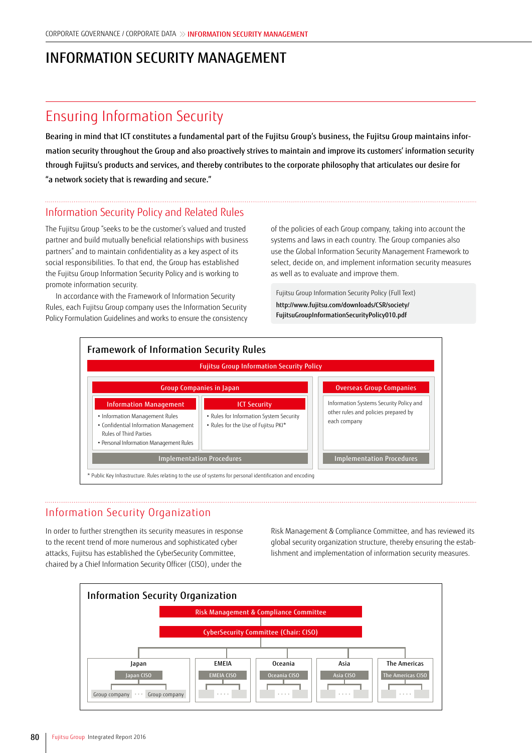## INFORMATION SECURITY MANAGEMENT

## Ensuring Information Security

Bearing in mind that ICT constitutes a fundamental part of the Fujitsu Group's business, the Fujitsu Group maintains information security throughout the Group and also proactively strives to maintain and improve its customers' information security through Fujitsu's products and services, and thereby contributes to the corporate philosophy that articulates our desire for "a network society that is rewarding and secure."

## Information Security Policy and Related Rules

The Fujitsu Group "seeks to be the customer's valued and trusted partner and build mutually beneficial relationships with business partners" and to maintain confidentiality as a key aspect of its social responsibilities. To that end, the Group has established the Fujitsu Group Information Security Policy and is working to promote information security.

In accordance with the Framework of Information Security Rules, each Fujitsu Group company uses the Information Security Policy Formulation Guidelines and works to ensure the consistency

of the policies of each Group company, taking into account the systems and laws in each country. The Group companies also use the Global Information Security Management Framework to select, decide on, and implement information security measures as well as to evaluate and improve them.

Fujitsu Group Information Security Policy (Full Text)

http://www.fujitsu.com/downloads/CSR/society/ FujitsuGroupInformationSecurityPolicy010.pdf



## Information Security Organization

In order to further strengthen its security measures in response to the recent trend of more numerous and sophisticated cyber attacks, Fujitsu has established the CyberSecurity Committee, chaired by a Chief Information Security Officer (CISO), under the

Risk Management & Compliance Committee, and has reviewed its global security organization structure, thereby ensuring the establishment and implementation of information security measures.